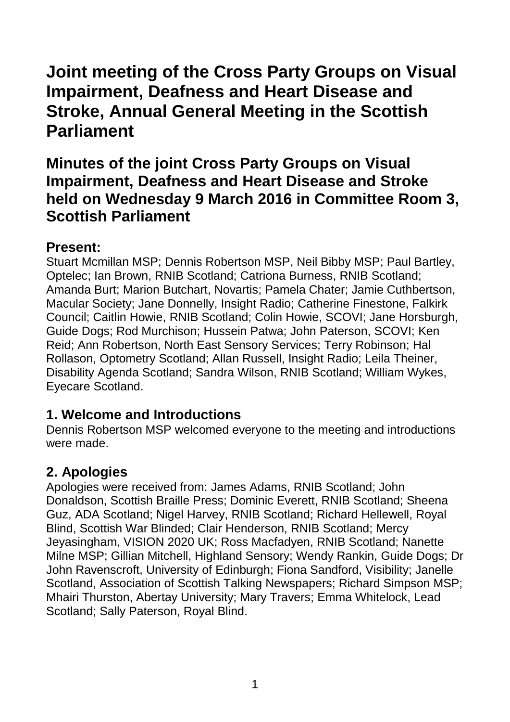# **Joint meeting of the Cross Party Groups on Visual Impairment, Deafness and Heart Disease and Stroke, Annual General Meeting in the Scottish Parliament**

# **Minutes of the joint Cross Party Groups on Visual Impairment, Deafness and Heart Disease and Stroke held on Wednesday 9 March 2016 in Committee Room 3, Scottish Parliament**

#### **Present:**

Stuart Mcmillan MSP; Dennis Robertson MSP, Neil Bibby MSP; Paul Bartley, Optelec; Ian Brown, RNIB Scotland; Catriona Burness, RNIB Scotland; Amanda Burt; Marion Butchart, Novartis; Pamela Chater; Jamie Cuthbertson, Macular Society; Jane Donnelly, Insight Radio; Catherine Finestone, Falkirk Council; Caitlin Howie, RNIB Scotland; Colin Howie, SCOVI; Jane Horsburgh, Guide Dogs; Rod Murchison; Hussein Patwa; John Paterson, SCOVI; Ken Reid; Ann Robertson, North East Sensory Services; Terry Robinson; Hal Rollason, Optometry Scotland; Allan Russell, Insight Radio; Leila Theiner, Disability Agenda Scotland; Sandra Wilson, RNIB Scotland; William Wykes, Eyecare Scotland.

#### **1. Welcome and Introductions**

Dennis Robertson MSP welcomed everyone to the meeting and introductions were made.

## **2. Apologies**

Apologies were received from: James Adams, RNIB Scotland; John Donaldson, Scottish Braille Press; Dominic Everett, RNIB Scotland; Sheena Guz, ADA Scotland; Nigel Harvey, RNIB Scotland; Richard Hellewell, Royal Blind, Scottish War Blinded; Clair Henderson, RNIB Scotland; Mercy Jeyasingham, VISION 2020 UK; Ross Macfadyen, RNIB Scotland; Nanette Milne MSP; Gillian Mitchell, Highland Sensory; Wendy Rankin, Guide Dogs; Dr John Ravenscroft, University of Edinburgh; Fiona Sandford, Visibility; Janelle Scotland, Association of Scottish Talking Newspapers; Richard Simpson MSP; Mhairi Thurston, Abertay University; Mary Travers; Emma Whitelock, Lead Scotland; Sally Paterson, Royal Blind.